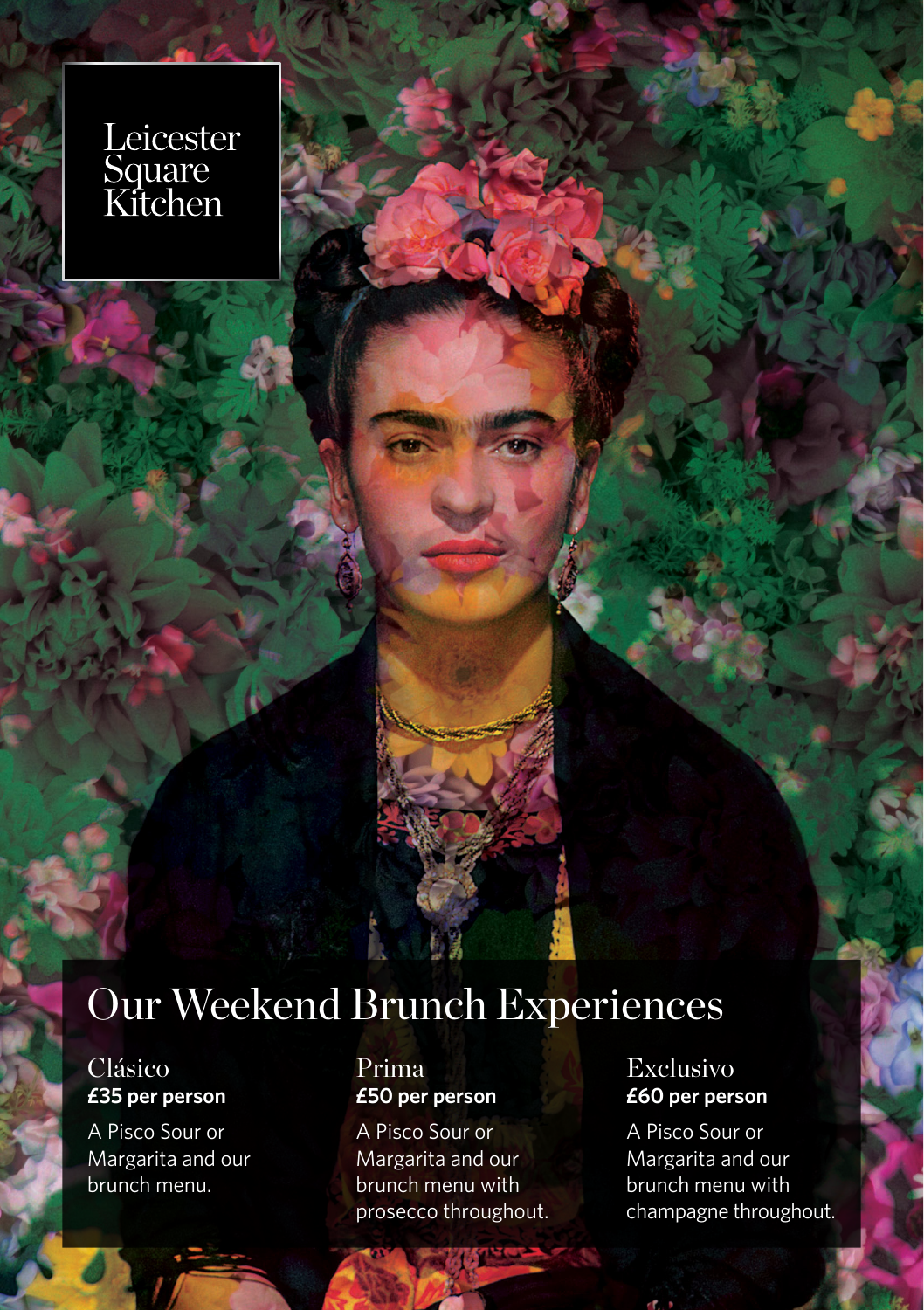# Leicester<br>Square<br>Kitchen

# Our Weekend Brunch Experiences

## Clásico **£35 per person**

A Pisco Sour or Margarita and our brunch menu.

### Prima **£50 per person**

A Pisco Sour or Margarita and our brunch menu with prosecco throughout.

## Exclusivo **£60 per person**

A Pisco Sour or Margarita and our brunch menu with champagne throughout.